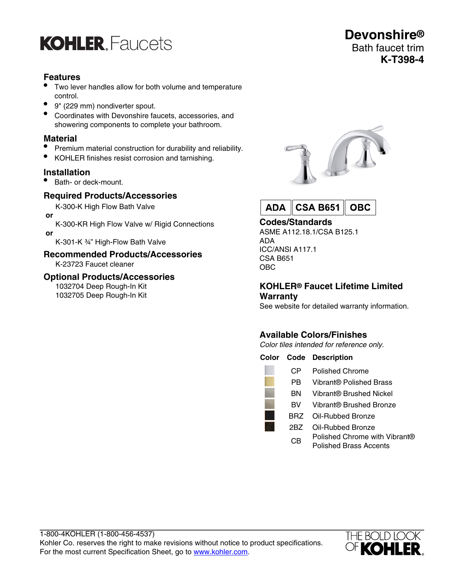

## **Features**

- Two lever handles allow for both volume and temperature control.
- 9" (229 mm) nondiverter spout.
- Coordinates with Devonshire faucets, accessories, and showering components to complete your bathroom.

## **Material**

- Premium material construction for durability and reliability.
- KOHLER finishes resist corrosion and tarnishing.

#### **Installation**

• Bath- or deck-mount.

## **Required Products/Accessories**

K-300-K High Flow Bath Valve

 **or**

K-300-KR High Flow Valve w/ Rigid Connections  **or**

K-301-K ¾" High-Flow Bath Valve

#### **Recommended Products/Accessories** K-23723 Faucet cleaner

## **Optional Products/Accessories**

1032704 Deep Rough-In Kit 1032705 Deep Rough-In Kit



**Devonshire®** Bath faucet trim

**K-T398-4**



## **Codes/Standards**

ASME A112.18.1/CSA B125.1 ADA ICC/ANSI A117.1 CSA B651 OBC

#### **KOHLER® Faucet Lifetime Limited Warranty**

See website for detailed warranty information.

# **Available Colors/Finishes**

Color tiles intended for reference only.

|      | <b>Color Code Description</b>                                  |
|------|----------------------------------------------------------------|
| CР   | Polished Chrome                                                |
| РB   | Vibrant® Polished Brass                                        |
| BN   | Vibrant® Brushed Nickel                                        |
| вv   | Vibrant® Brushed Bronze                                        |
| BRZ. | Oil-Rubbed Bronze                                              |
| 2BZ  | Oil-Rubbed Bronze                                              |
| CВ   | Polished Chrome with Vibrant®<br><b>Polished Brass Accents</b> |